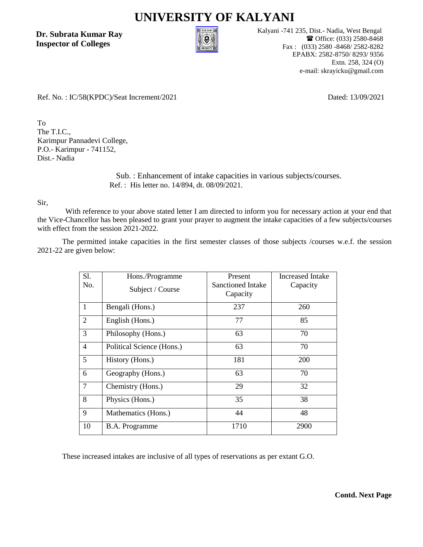## **UNIVERSITY OF KALYANI**

**Dr. Subrata Kumar Ray Inspector of Colleges**



Kalyani -741 235, Dist.- Nadia, West Bengal Office: (033) 2580-8468 Fax : (033) 2580 -8468/ 2582-8282 EPABX: 2582-8750/ 8293/ 9356 Extn. 258, 324 (O) e-mail: skrayicku@gmail.com

Ref. No. : IC/58(KPDC)/Seat Increment/2021

Dated: 13/09/2021

To The T.I.C., Karimpur Pannadevi College, P.O.- Karimpur - 741152, Dist.- Nadia

> Sub. : Enhancement of intake capacities in various subjects/courses. Ref. : His letter no. 14/894, dt. 08/09/2021.

Sir,

With reference to your above stated letter I am directed to inform you for necessary action at your end that the Vice-Chancellor has been pleased to grant your prayer to augment the intake capacities of a few subjects/courses with effect from the session 2021-2022.

The permitted intake capacities in the first semester classes of those subjects /courses w.e.f. the session 2021-22 are given below:

| S1.<br>No.     | Hons./Programme<br>Subject / Course | Present<br>Sanctioned Intake<br>Capacity | Increased Intake<br>Capacity |
|----------------|-------------------------------------|------------------------------------------|------------------------------|
| $\mathbf{1}$   | Bengali (Hons.)                     | 237                                      | 260                          |
| $\overline{2}$ | English (Hons.)                     | 77                                       | 85                           |
| 3              | Philosophy (Hons.)                  | 63                                       | 70                           |
| $\overline{4}$ | Political Science (Hons.)           | 63                                       | 70                           |
| 5              | History (Hons.)                     | 181                                      | 200                          |
| 6              | Geography (Hons.)                   | 63                                       | 70                           |
| $\overline{7}$ | Chemistry (Hons.)                   | 29                                       | 32                           |
| 8              | Physics (Hons.)                     | 35                                       | 38                           |
| 9              | Mathematics (Hons.)                 | 44                                       | 48                           |
| 10             | B.A. Programme                      | 1710                                     | 2900                         |

These increased intakes are inclusive of all types of reservations as per extant G.O.